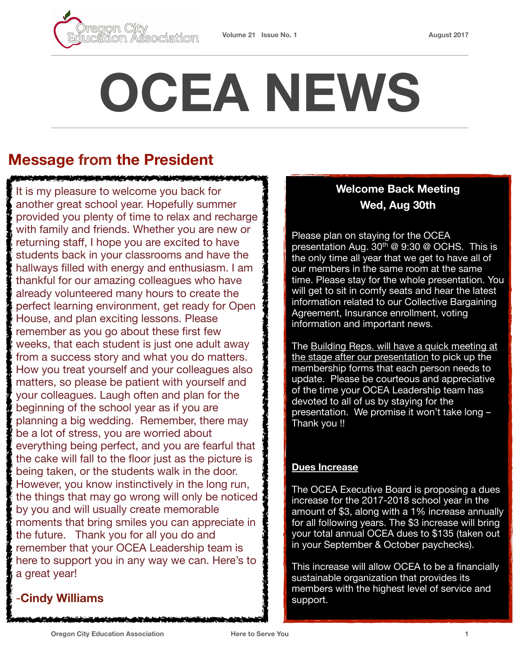

# **OCEA NEWS**

## **Message from the President**

**MORE EXPERIENCE AND EXPERIENCE** 

It is my pleasure to welcome you back for another great school year. Hopefully summer provided you plenty of time to relax and recharge with family and friends. Whether you are new or returning staff, I hope you are excited to have students back in your classrooms and have the hallways filled with energy and enthusiasm. I am thankful for our amazing colleagues who have already volunteered many hours to create the perfect learning environment, get ready for Open House, and plan exciting lessons. Please remember as you go about these first few weeks, that each student is just one adult away from a success story and what you do matters. How you treat yourself and your colleagues also matters, so please be patient with yourself and your colleagues. Laugh often and plan for the beginning of the school year as if you are planning a big wedding. Remember, there may be a lot of stress, you are worried about everything being perfect, and you are fearful that the cake will fall to the floor just as the picture is being taken, or the students walk in the door. However, you know instinctively in the long run, the things that may go wrong will only be noticed by you and will usually create memorable moments that bring smiles you can appreciate in the future. Thank you for all you do and remember that your OCEA Leadership team is here to support you in any way we can. Here's to a great year!

## -**Cindy Williams**

#### **Welcome Back Meeting Wed, Aug 30th**

Please plan on staying for the OCEA presentation Aug.  $30<sup>th</sup>$  @ 9:30 @ OCHS. This is the only time all year that we get to have all of our members in the same room at the same time. Please stay for the whole presentation. You will get to sit in comfy seats and hear the latest information related to our Collective Bargaining Agreement, Insurance enrollment, voting information and important news.

The Building Reps. will have a quick meeting at the stage after our presentation to pick up the membership forms that each person needs to update. Please be courteous and appreciative of the time your OCEA Leadership team has devoted to all of us by staying for the presentation. We promise it won't take long – Thank you !!

#### **Dues Increase**

The OCEA Executive Board is proposing a dues increase for the 2017-2018 school year in the amount of \$3, along with a 1% increase annually for all following years. The \$3 increase will bring your total annual OCEA dues to \$135 (taken out in your September & October paychecks).

This increase will allow OCEA to be a financially sustainable organization that provides its members with the highest level of service and support.